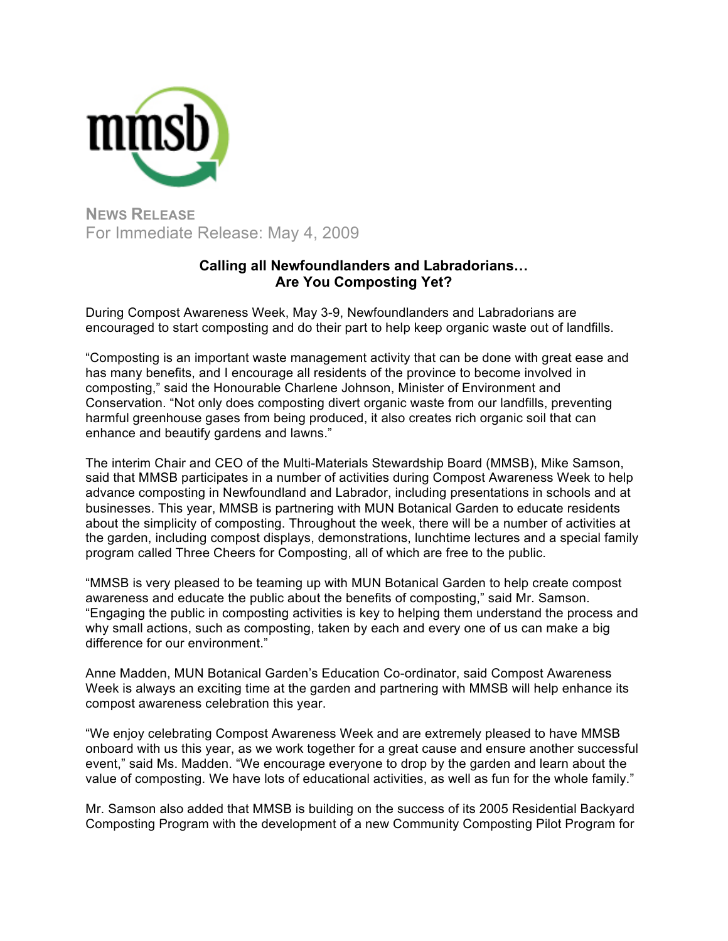

**NEWS RELEASE** For Immediate Release: May 4, 2009

## **Calling all Newfoundlanders and Labradorians… Are You Composting Yet?**

During Compost Awareness Week, May 3-9, Newfoundlanders and Labradorians are encouraged to start composting and do their part to help keep organic waste out of landfills.

"Composting is an important waste management activity that can be done with great ease and has many benefits, and I encourage all residents of the province to become involved in composting," said the Honourable Charlene Johnson, Minister of Environment and Conservation. "Not only does composting divert organic waste from our landfills, preventing harmful greenhouse gases from being produced, it also creates rich organic soil that can enhance and beautify gardens and lawns."

The interim Chair and CEO of the Multi-Materials Stewardship Board (MMSB), Mike Samson, said that MMSB participates in a number of activities during Compost Awareness Week to help advance composting in Newfoundland and Labrador, including presentations in schools and at businesses. This year, MMSB is partnering with MUN Botanical Garden to educate residents about the simplicity of composting. Throughout the week, there will be a number of activities at the garden, including compost displays, demonstrations, lunchtime lectures and a special family program called Three Cheers for Composting, all of which are free to the public.

"MMSB is very pleased to be teaming up with MUN Botanical Garden to help create compost awareness and educate the public about the benefits of composting," said Mr. Samson. "Engaging the public in composting activities is key to helping them understand the process and why small actions, such as composting, taken by each and every one of us can make a big difference for our environment."

Anne Madden, MUN Botanical Garden's Education Co-ordinator, said Compost Awareness Week is always an exciting time at the garden and partnering with MMSB will help enhance its compost awareness celebration this year.

"We enjoy celebrating Compost Awareness Week and are extremely pleased to have MMSB onboard with us this year, as we work together for a great cause and ensure another successful event," said Ms. Madden. "We encourage everyone to drop by the garden and learn about the value of composting. We have lots of educational activities, as well as fun for the whole family."

Mr. Samson also added that MMSB is building on the success of its 2005 Residential Backyard Composting Program with the development of a new Community Composting Pilot Program for